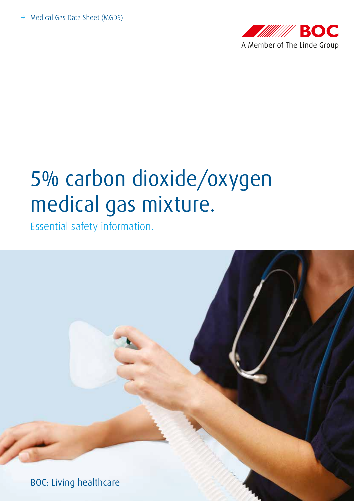

# 5% carbon dioxide/oxygen medical gas mixture.

Essential safety information.

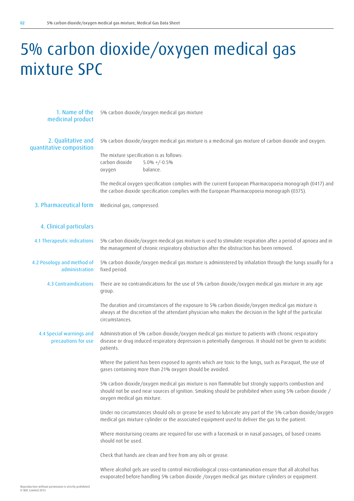## 5% carbon dioxide/oxygen medical gas mixture SPC

1. Name of the medicinal product 2. Qualitative and quantitative composition 3. Pharmaceutical form 4. Clinical particulars 4.1 Therapeutic indications 4.2 Posology and method of administration 4.3 Contraindications 4.4 Special warnings and precautions for use 5% carbon dioxide/oxygen medical gas mixture 5% carbon dioxide/oxygen medical gas mixture is a medicinal gas mixture of carbon dioxide and oxygen. The mixture specification is as follows: carbon dioxide 5.0% +/-0.5% oxygen balance. The medical oxygen specification complies with the current European Pharmacopoeia monograph (0417) and the carbon dioxide specification complies with the European Pharmacopoeia monograph (0375). Medicinal gas, compressed. 5% carbon dioxide/oxygen medical gas mixture is used to stimulate respiration after a period of apnoea and in the management of chronic respiratory obstruction after the obstruction has been removed. 5% carbon dioxide/oxygen medical gas mixture is administered by inhalation through the lungs usually for a fixed period. There are no contraindications for the use of 5% carbon dioxide/oxygen medical gas mixture in any age group. The duration and circumstances of the exposure to 5% carbon dioxide/oxygen medical gas mixture is always at the discretion of the attendant physician who makes the decision in the light of the particular circumstances. Administration of 5% carbon dioxide/oxygen medical gas mixture to patients with chronic respiratory disease or drug induced respiratory depression is potentially dangerous. It should not be given to acidotic patients. Where the patient has been exposed to agents which are toxic to the lungs, such as Paraquat, the use of gases containing more than 21% oxygen should be avoided. 5% carbon dioxide/oxygen medical gas mixture is non flammable but strongly supports combustion and should not be used near sources of ignition. Smoking should be prohibited when using 5% carbon dioxide / oxygen medical gas mixture. Under no circumstances should oils or grease be used to lubricate any part of the 5% carbon dioxide/oxygen medical gas mixture cylinder or the associated equipment used to deliver the gas to the patient. Where moisturising creams are required for use with a facemask or in nasal passages, oil based creams should not be used. Check that hands are clean and free from any oils or grease. Where alcohol gels are used to control microbiological cross-contamination ensure that all alcohol has evaporated before handling 5% carbon dioxide /oxygen medical gas mixture cylinders or equipment.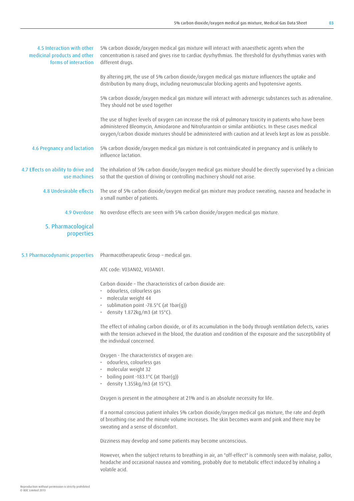| 4.5 Interaction with other<br>medicinal products and other<br>forms of interaction | 5% carbon dioxide/oxygen medical gas mixture will interact with anaesthetic agents when the<br>concentration is raised and gives rise to cardiac dysrhythmias. The threshold for dysrhythmias varies with<br>different drugs.                                                                                                 |
|------------------------------------------------------------------------------------|-------------------------------------------------------------------------------------------------------------------------------------------------------------------------------------------------------------------------------------------------------------------------------------------------------------------------------|
|                                                                                    | By altering pH, the use of 5% carbon dioxide/oxygen medical gas mixture influences the uptake and<br>distribution by many drugs, including neuromuscular blocking agents and hypotensive agents.                                                                                                                              |
|                                                                                    | 5% carbon dioxide/oxygen medical gas mixture will interact with adrenergic substances such as adrenaline.<br>They should not be used together                                                                                                                                                                                 |
|                                                                                    | The use of higher levels of oxygen can increase the risk of pulmonary toxicity in patients who have been<br>administered Bleomycin, Amiodarone and Nitrofurantoin or similar antibiotics. In these cases medical<br>oxygen/carbon dioxide mixtures should be administered with caution and at levels kept as low as possible. |
| 4.6 Pregnancy and lactation                                                        | 5% carbon dioxide/oxygen medical gas mixture is not contraindicated in pregnancy and is unlikely to<br>influence lactation.                                                                                                                                                                                                   |
| 4.7 Effects on ability to drive and<br>use machines                                | The inhalation of 5% carbon dioxide/oxygen medical gas mixture should be directly supervised by a clinician<br>so that the question of driving or controlling machinery should not arise.                                                                                                                                     |
| 4.8 Undesirable effects                                                            | The use of 5% carbon dioxide/oxygen medical gas mixture may produce sweating, nausea and headache in<br>a small number of patients.                                                                                                                                                                                           |
| 4.9 Overdose                                                                       | No overdose effects are seen with 5% carbon dioxide/oxygen medical gas mixture.                                                                                                                                                                                                                                               |
| 5. Pharmacological<br>properties                                                   |                                                                                                                                                                                                                                                                                                                               |
| 5.1 Pharmacodynamic properties                                                     | Pharmacotherapeutic Group - medical gas.                                                                                                                                                                                                                                                                                      |
|                                                                                    | ATC code: V03AN02, V03AN01.                                                                                                                                                                                                                                                                                                   |
|                                                                                    | Carbon dioxide - The characteristics of carbon dioxide are:                                                                                                                                                                                                                                                                   |
|                                                                                    | · odourless, colourless gas<br>molecular weight 44                                                                                                                                                                                                                                                                            |
|                                                                                    | sublimation point -78.5°C (at 1bar(g))<br>density 1.872kg/m3 (at 15°C).                                                                                                                                                                                                                                                       |
|                                                                                    | The effect of inhaling carbon dioxide, or of its accumulation in the body through ventilation defects, varies<br>with the tension achieved in the blood, the duration and condition of the exposure and the susceptibility of<br>the individual concerned.                                                                    |
|                                                                                    | Oxygen - The characteristics of oxygen are:                                                                                                                                                                                                                                                                                   |
|                                                                                    | · odourless, colourless gas<br>· molecular weight 32                                                                                                                                                                                                                                                                          |
|                                                                                    | boiling point -183.1 $\degree$ C (at 1bar(g))<br>• density 1.355kg/m3 (at 15 $^{\circ}$ C).                                                                                                                                                                                                                                   |
|                                                                                    | Oxygen is present in the atmosphere at 21% and is an absolute necessity for life.                                                                                                                                                                                                                                             |
|                                                                                    | If a normal conscious patient inhales 5% carbon dioxide/oxygen medical gas mixture, the rate and depth<br>of breathing rise and the minute volume increases. The skin becomes warm and pink and there may be<br>sweating and a sense of discomfort.                                                                           |
|                                                                                    | Dizziness may develop and some patients may become unconscious.                                                                                                                                                                                                                                                               |
|                                                                                    | However, when the subject returns to breathing in air, an "off-effect" is commonly seen with malaise, pallor,<br>headache and occasional nausea and vomiting, probably due to metabolic effect induced by inhaling a                                                                                                          |

volatile acid.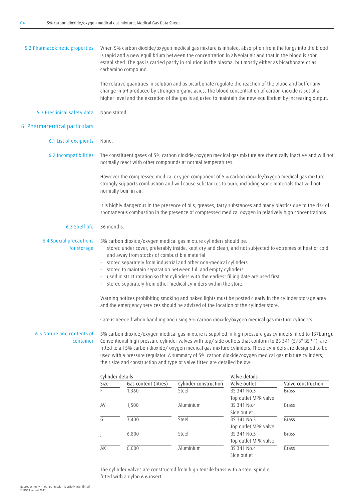| 5.2 Pharmacokinetic properties<br>When 5% carbon dioxide/oxygen medical gas mixture is inhaled, absorption from the lungs into the blood<br>is rapid and a new equilibrium between the concentration in alveolar air and that in the blood is soon<br>established. The gas is carried partly in solution in the plasma, but mostly either as bicarbonate or as<br>carbamino compound.                                                                                                                                                                                                        |                      |                                                                        |                                     |                                                                                                                                                                                                                                                                                                                                                                                                                                                                                                                                                                                                                                                                                                                                                                                                                                                                                                                                                                                                                                                                                                                                                                                                                                                                                                                                                                                                                                                                                                                                                                                                                                                                         |  |
|----------------------------------------------------------------------------------------------------------------------------------------------------------------------------------------------------------------------------------------------------------------------------------------------------------------------------------------------------------------------------------------------------------------------------------------------------------------------------------------------------------------------------------------------------------------------------------------------|----------------------|------------------------------------------------------------------------|-------------------------------------|-------------------------------------------------------------------------------------------------------------------------------------------------------------------------------------------------------------------------------------------------------------------------------------------------------------------------------------------------------------------------------------------------------------------------------------------------------------------------------------------------------------------------------------------------------------------------------------------------------------------------------------------------------------------------------------------------------------------------------------------------------------------------------------------------------------------------------------------------------------------------------------------------------------------------------------------------------------------------------------------------------------------------------------------------------------------------------------------------------------------------------------------------------------------------------------------------------------------------------------------------------------------------------------------------------------------------------------------------------------------------------------------------------------------------------------------------------------------------------------------------------------------------------------------------------------------------------------------------------------------------------------------------------------------------|--|
|                                                                                                                                                                                                                                                                                                                                                                                                                                                                                                                                                                                              |                      |                                                                        |                                     |                                                                                                                                                                                                                                                                                                                                                                                                                                                                                                                                                                                                                                                                                                                                                                                                                                                                                                                                                                                                                                                                                                                                                                                                                                                                                                                                                                                                                                                                                                                                                                                                                                                                         |  |
|                                                                                                                                                                                                                                                                                                                                                                                                                                                                                                                                                                                              |                      |                                                                        |                                     |                                                                                                                                                                                                                                                                                                                                                                                                                                                                                                                                                                                                                                                                                                                                                                                                                                                                                                                                                                                                                                                                                                                                                                                                                                                                                                                                                                                                                                                                                                                                                                                                                                                                         |  |
|                                                                                                                                                                                                                                                                                                                                                                                                                                                                                                                                                                                              |                      |                                                                        |                                     |                                                                                                                                                                                                                                                                                                                                                                                                                                                                                                                                                                                                                                                                                                                                                                                                                                                                                                                                                                                                                                                                                                                                                                                                                                                                                                                                                                                                                                                                                                                                                                                                                                                                         |  |
| None.                                                                                                                                                                                                                                                                                                                                                                                                                                                                                                                                                                                        |                      |                                                                        |                                     |                                                                                                                                                                                                                                                                                                                                                                                                                                                                                                                                                                                                                                                                                                                                                                                                                                                                                                                                                                                                                                                                                                                                                                                                                                                                                                                                                                                                                                                                                                                                                                                                                                                                         |  |
|                                                                                                                                                                                                                                                                                                                                                                                                                                                                                                                                                                                              |                      |                                                                        |                                     |                                                                                                                                                                                                                                                                                                                                                                                                                                                                                                                                                                                                                                                                                                                                                                                                                                                                                                                                                                                                                                                                                                                                                                                                                                                                                                                                                                                                                                                                                                                                                                                                                                                                         |  |
|                                                                                                                                                                                                                                                                                                                                                                                                                                                                                                                                                                                              |                      |                                                                        |                                     |                                                                                                                                                                                                                                                                                                                                                                                                                                                                                                                                                                                                                                                                                                                                                                                                                                                                                                                                                                                                                                                                                                                                                                                                                                                                                                                                                                                                                                                                                                                                                                                                                                                                         |  |
|                                                                                                                                                                                                                                                                                                                                                                                                                                                                                                                                                                                              |                      |                                                                        |                                     |                                                                                                                                                                                                                                                                                                                                                                                                                                                                                                                                                                                                                                                                                                                                                                                                                                                                                                                                                                                                                                                                                                                                                                                                                                                                                                                                                                                                                                                                                                                                                                                                                                                                         |  |
|                                                                                                                                                                                                                                                                                                                                                                                                                                                                                                                                                                                              |                      |                                                                        |                                     |                                                                                                                                                                                                                                                                                                                                                                                                                                                                                                                                                                                                                                                                                                                                                                                                                                                                                                                                                                                                                                                                                                                                                                                                                                                                                                                                                                                                                                                                                                                                                                                                                                                                         |  |
| <b>6.4 Special precautions</b><br>5% carbon dioxide/oxygen medical gas mixture cylinders should be:<br>· stored under cover, preferably inside, kept dry and clean, and not subjected to extremes of heat or cold<br>for storage<br>and away from stocks of combustible material<br>· stored separately from industrial and other non-medical cylinders<br>stored to maintain separation between full and empty cylinders<br>· used in strict rotation so that cylinders with the earliest filling date are used first<br>· stored separately from other medical cylinders within the store. |                      |                                                                        |                                     |                                                                                                                                                                                                                                                                                                                                                                                                                                                                                                                                                                                                                                                                                                                                                                                                                                                                                                                                                                                                                                                                                                                                                                                                                                                                                                                                                                                                                                                                                                                                                                                                                                                                         |  |
| Warning notices prohibiting smoking and naked lights must be posted clearly in the cylinder storage area<br>and the emergency services should be advised of the location of the cylinder store.                                                                                                                                                                                                                                                                                                                                                                                              |                      |                                                                        |                                     |                                                                                                                                                                                                                                                                                                                                                                                                                                                                                                                                                                                                                                                                                                                                                                                                                                                                                                                                                                                                                                                                                                                                                                                                                                                                                                                                                                                                                                                                                                                                                                                                                                                                         |  |
|                                                                                                                                                                                                                                                                                                                                                                                                                                                                                                                                                                                              |                      |                                                                        |                                     |                                                                                                                                                                                                                                                                                                                                                                                                                                                                                                                                                                                                                                                                                                                                                                                                                                                                                                                                                                                                                                                                                                                                                                                                                                                                                                                                                                                                                                                                                                                                                                                                                                                                         |  |
|                                                                                                                                                                                                                                                                                                                                                                                                                                                                                                                                                                                              |                      |                                                                        |                                     |                                                                                                                                                                                                                                                                                                                                                                                                                                                                                                                                                                                                                                                                                                                                                                                                                                                                                                                                                                                                                                                                                                                                                                                                                                                                                                                                                                                                                                                                                                                                                                                                                                                                         |  |
|                                                                                                                                                                                                                                                                                                                                                                                                                                                                                                                                                                                              |                      |                                                                        |                                     |                                                                                                                                                                                                                                                                                                                                                                                                                                                                                                                                                                                                                                                                                                                                                                                                                                                                                                                                                                                                                                                                                                                                                                                                                                                                                                                                                                                                                                                                                                                                                                                                                                                                         |  |
| Size                                                                                                                                                                                                                                                                                                                                                                                                                                                                                                                                                                                         | Gas content (litres) | Cylinder construction                                                  | Valve outlet                        | Valve construction                                                                                                                                                                                                                                                                                                                                                                                                                                                                                                                                                                                                                                                                                                                                                                                                                                                                                                                                                                                                                                                                                                                                                                                                                                                                                                                                                                                                                                                                                                                                                                                                                                                      |  |
| F                                                                                                                                                                                                                                                                                                                                                                                                                                                                                                                                                                                            | 1,360                | Steel                                                                  | BS 341 No.3<br>Top outlet MPR valve | Brass                                                                                                                                                                                                                                                                                                                                                                                                                                                                                                                                                                                                                                                                                                                                                                                                                                                                                                                                                                                                                                                                                                                                                                                                                                                                                                                                                                                                                                                                                                                                                                                                                                                                   |  |
| AV                                                                                                                                                                                                                                                                                                                                                                                                                                                                                                                                                                                           | 1,500                | Aluminium                                                              | BS 341 No.4                         | Brass                                                                                                                                                                                                                                                                                                                                                                                                                                                                                                                                                                                                                                                                                                                                                                                                                                                                                                                                                                                                                                                                                                                                                                                                                                                                                                                                                                                                                                                                                                                                                                                                                                                                   |  |
| G                                                                                                                                                                                                                                                                                                                                                                                                                                                                                                                                                                                            | 3,400                | Steel                                                                  | BS 341 No.3                         | Brass                                                                                                                                                                                                                                                                                                                                                                                                                                                                                                                                                                                                                                                                                                                                                                                                                                                                                                                                                                                                                                                                                                                                                                                                                                                                                                                                                                                                                                                                                                                                                                                                                                                                   |  |
|                                                                                                                                                                                                                                                                                                                                                                                                                                                                                                                                                                                              | 6,800                | Steel                                                                  | BS 341 No.3                         | $\overline{\text{Brass}}$                                                                                                                                                                                                                                                                                                                                                                                                                                                                                                                                                                                                                                                                                                                                                                                                                                                                                                                                                                                                                                                                                                                                                                                                                                                                                                                                                                                                                                                                                                                                                                                                                                               |  |
| AK                                                                                                                                                                                                                                                                                                                                                                                                                                                                                                                                                                                           | 6,000                | Aluminium                                                              | BS 341 No.4                         | <b>Brass</b>                                                                                                                                                                                                                                                                                                                                                                                                                                                                                                                                                                                                                                                                                                                                                                                                                                                                                                                                                                                                                                                                                                                                                                                                                                                                                                                                                                                                                                                                                                                                                                                                                                                            |  |
|                                                                                                                                                                                                                                                                                                                                                                                                                                                                                                                                                                                              |                      | None stated.<br>normally bum in air.<br>36 months.<br>Cylinder details |                                     | The relative quantities in solution and as bicarbonate regulate the reaction of the blood and buffer any<br>change in pH produced by stronger organic acids. The blood concentration of carbon dioxide is set at a<br>higher level and the excretion of the gas is adjusted to maintain the new equilibrium by increasing output.<br>The constituent gases of 5% carbon dioxide/oxygen medical gas mixture are chemically inactive and will not<br>normally react with other compounds at normal temperatures.<br>However the compressed medical oxygen component of 5% carbon dioxide/oxygen medical gas mixture<br>strongly supports combustion and will cause substances to burn, including some materials that will not<br>It is highly dangerous in the presence of oils, greases, tarry substances and many plastics due to the risk of<br>spontaneous combustion in the presence of compressed medical oxygen in relatively high concentrations.<br>Care is needed when handling and using 5% carbon dioxide/oxygen medical gas mixture cylinders.<br>5% carbon dioxide/oxygen medical gas mixture is supplied in high pressure gas cylinders filled to 137bar(g).<br>Conventional high pressure cylinder valves with top/ side outlets that conform to BS 341 (5/8" BSP F), are<br>fitted to all 5% carbon dioxide/oxygen medical gas mixture cylinders. These cylinders are designed to be<br>used with a pressure regulator. A summary of 5% carbon dioxide/oxygen medical gas mixture cylinders,<br>their size and construction and type of valve fitted are detailed below:<br>Valve details<br>Side outlet<br>Top outlet MPR valve<br>Top outlet MPR valve |  |

The cylinder valves are constructed from high tensile brass with a steel spindle fitted with a nylon 6.6 insert.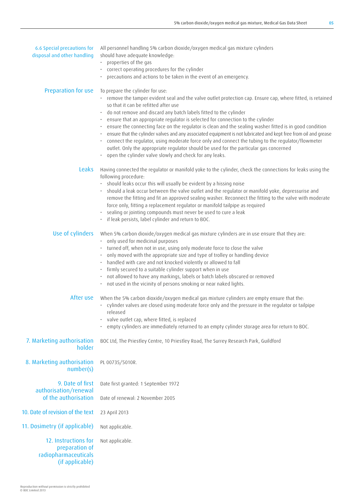| 6.6 Special precautions for<br>disposal and other handling        | All personnel handling 5% carbon dioxide/oxygen medical gas mixture cylinders<br>should have adequate knowledge:<br>• properties of the gas<br>· correct operating procedures for the cylinder<br>precautions and actions to be taken in the event of an emergency.                                                                                                                                                                                                                                                                                                                                                                                                                                                                                                                                                                         |
|-------------------------------------------------------------------|---------------------------------------------------------------------------------------------------------------------------------------------------------------------------------------------------------------------------------------------------------------------------------------------------------------------------------------------------------------------------------------------------------------------------------------------------------------------------------------------------------------------------------------------------------------------------------------------------------------------------------------------------------------------------------------------------------------------------------------------------------------------------------------------------------------------------------------------|
| Preparation for use                                               | To prepare the cylinder for use:<br>· remove the tamper evident seal and the valve outlet protection cap. Ensure cap, where fitted, is retained<br>so that it can be refitted after use<br>do not remove and discard any batch labels fitted to the cylinder<br>ensure that an appropriate regulator is selected for connection to the cylinder<br>ensure the connecting face on the regulator is clean and the sealing washer fitted is in good condition<br>ensure that the cylinder valves and any associated equipment is not lubricated and kept free from oil and grease<br>connect the regulator, using moderate force only and connect the tubing to the regulator/flowmeter<br>outlet. Only the appropriate regulator should be used for the particular gas concerned<br>• open the cylinder valve slowly and check for any leaks. |
| Leaks                                                             | Having connected the regulator or manifold yoke to the cylinder, check the connections for leaks using the<br>following procedure:<br>· should leaks occur this will usually be evident by a hissing noise<br>should a leak occur between the valve outlet and the regulator or manifold yoke, depressurise and<br>remove the fitting and fit an approved sealing washer. Reconnect the fitting to the valve with moderate<br>force only, fitting a replacement regulator or manifold tailpipe as required<br>sealing or jointing compounds must never be used to cure a leak<br>· if leak persists, label cylinder and return to BOC.                                                                                                                                                                                                      |
| Use of cylinders                                                  | When 5% carbon dioxide/oxygen medical gas mixture cylinders are in use ensure that they are:<br>• only used for medicinal purposes<br>turned off, when not in use, using only moderate force to close the valve<br>only moved with the appropriate size and type of trolley or handling device<br>handled with care and not knocked violently or allowed to fall<br>firmly secured to a suitable cylinder support when in use<br>not allowed to have any markings, labels or batch labels obscured or removed<br>· not used in the vicinity of persons smoking or near naked lights.                                                                                                                                                                                                                                                        |
| After use                                                         | When the 5% carbon dioxide/oxygen medical gas mixture cylinders are empty ensure that the:<br>· cylinder valves are closed using moderate force only and the pressure in the regulator or tailpipe<br>released<br>valve outlet cap, where fitted, is replaced<br>empty cylinders are immediately returned to an empty cylinder storage area for return to BOC.                                                                                                                                                                                                                                                                                                                                                                                                                                                                              |
| 7. Marketing authorisation<br>holder                              | BOC Ltd, The Priestley Centre, 10 Priestley Road, The Surrey Research Park, Guildford                                                                                                                                                                                                                                                                                                                                                                                                                                                                                                                                                                                                                                                                                                                                                       |
| 8. Marketing authorisation<br>number(s)                           | PL 00735/5010R.                                                                                                                                                                                                                                                                                                                                                                                                                                                                                                                                                                                                                                                                                                                                                                                                                             |
| 9. Date of first<br>authorisation/renewal<br>of the authorisation | Date first granted: 1 September 1972<br>Date of renewal: 2 November 2005                                                                                                                                                                                                                                                                                                                                                                                                                                                                                                                                                                                                                                                                                                                                                                    |
| 10. Date of revision of the text                                  | 23 April 2013                                                                                                                                                                                                                                                                                                                                                                                                                                                                                                                                                                                                                                                                                                                                                                                                                               |
| 11. Dosimetry (if applicable)                                     | Not applicable.                                                                                                                                                                                                                                                                                                                                                                                                                                                                                                                                                                                                                                                                                                                                                                                                                             |
| 12. Instructions for<br>preparation of<br>radiopharmaceuticals    | Not applicable.                                                                                                                                                                                                                                                                                                                                                                                                                                                                                                                                                                                                                                                                                                                                                                                                                             |

(if applicable)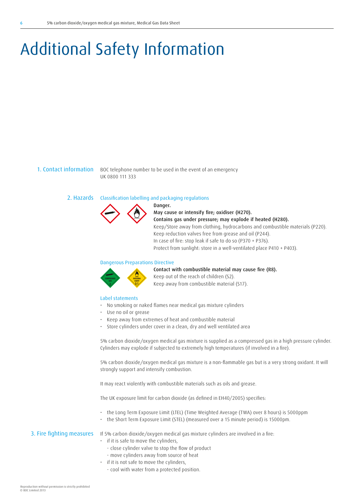## Additional Safety Information

1. Contact information BOC telephone number to be used in the event of an emergency UK 0800 111 333

Danger.

#### 2. Hazards Classification labelling and packaging regulations



## May cause or intensify fire; oxidiser (H270). Contains gas under pressure; may explode if heated (H280). Keep/Store away from clothing, hydrocarbons and combustible materials (P220). Keep reduction valves free from grease and oil (P244). In case of fire: stop leak if safe to do so (P370 + P376). Protect from sunlight: store in a well-ventilated place P410 + P403).

### Dangerous Preparations Directive



Contact with combustible material may cause fire (R8).

Keep out of the reach of children (S2). Keep away from combustible material (S17).

### Label statements

- No smoking or naked flames near medical gas mixture cylinders
- Use no oil or grease
- Keep away from extremes of heat and combustible material
- Store cylinders under cover in a clean, dry and well ventilated area

5% carbon dioxide/oxygen medical gas mixture is supplied as a compressed gas in a high pressure cylinder. Cylinders may explode if subjected to extremely high temperatures (if involved in a fire).

5% carbon dioxide/oxygen medical gas mixture is a non-flammable gas but is a very strong oxidant. It will strongly support and intensify combustion.

It may react violently with combustible materials such as oils and grease.

The UK exposure limit for carbon dioxide (as defined in EH40/2005) specifies:

- the Long Term Exposure Limit (LTEL) (Time Weighted Average (TWA) over 8 hours) is 5000ppm
- the Short Term Exposure Limit (STEL) (measured over a 15 minute period) is 15000pm.

3. Fire fighting measures If 5% carbon dioxide/oxygen medical gas mixture cylinders are involved in a fire:

- if it is safe to move the cylinders,
- close cylinder valve to stop the flow of product
- move cylinders away from source of heat
- if it is not safe to move the cylinders,
	- cool with water from a protected position.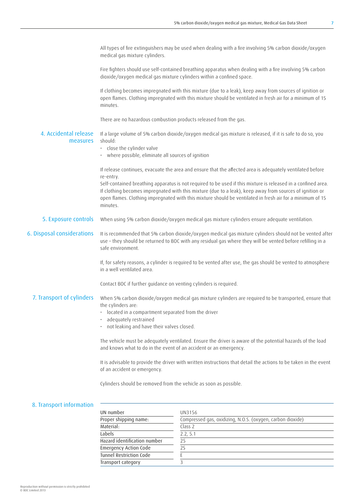|                                   | All types of fire extinquishers may be used when dealing with a fire involving 5% carbon dioxide/oxygen<br>medical gas mixture cylinders.                                                                                                                                                                                                                       |
|-----------------------------------|-----------------------------------------------------------------------------------------------------------------------------------------------------------------------------------------------------------------------------------------------------------------------------------------------------------------------------------------------------------------|
|                                   | Fire fighters should use self-contained breathing apparatus when dealing with a fire involving 5% carbon<br>dioxide/oxygen medical gas mixture cylinders within a confined space.                                                                                                                                                                               |
|                                   | If clothing becomes impregnated with this mixture (due to a leak), keep away from sources of ignition or<br>open flames. Clothing impregnated with this mixture should be ventilated in fresh air for a minimum of 15<br>minutes.                                                                                                                               |
|                                   | There are no hazardous combustion products released from the gas.                                                                                                                                                                                                                                                                                               |
| 4. Accidental release<br>measures | If a large volume of 5% carbon dioxide/oxygen medical gas mixture is released, if it is safe to do so, you<br>should:<br>· close the cylinder valve<br>• where possible, eliminate all sources of ignition                                                                                                                                                      |
|                                   | If release continues, evacuate the area and ensure that the affected area is adequately ventilated before                                                                                                                                                                                                                                                       |
|                                   | re-entry.<br>Self-contained breathing apparatus is not required to be used if this mixture is released in a confined area.<br>If clothing becomes impregnated with this mixture (due to a leak), keep away from sources of ignition or<br>open flames. Clothing impregnated with this mixture should be ventilated in fresh air for a minimum of 15<br>minutes. |
| 5. Exposure controls              | When using 5% carbon dioxide/oxygen medical gas mixture cylinders ensure adequate ventilation.                                                                                                                                                                                                                                                                  |
| 6. Disposal considerations        | It is recommended that 5% carbon dioxide/oxygen medical gas mixture cylinders should not be vented after<br>use - they should be returned to BOC with any residual gas where they will be vented before refilling in a<br>safe environment.                                                                                                                     |
|                                   | If, for safety reasons, a cylinder is required to be vented after use, the gas should be vented to atmosphere<br>in a well ventilated area.                                                                                                                                                                                                                     |
|                                   | Contact BOC if further guidance on venting cylinders is required.                                                                                                                                                                                                                                                                                               |
| 7. Transport of cylinders         | When 5% carbon dioxide/oxygen medical gas mixture cylinders are required to be transported, ensure that<br>the cylinders are:<br>located in a compartment separated from the driver<br>adequately restrained<br>not leaking and have their valves closed.                                                                                                       |
|                                   | The vehicle must be adequately ventilated. Ensure the driver is aware of the potential hazards of the load<br>and knows what to do in the event of an accident or an emergency.                                                                                                                                                                                 |
|                                   | It is advisable to provide the driver with written instructions that detail the actions to be taken in the event<br>of an accident or emergency.                                                                                                                                                                                                                |
|                                   | Cylinders should be removed from the vehicle as soon as possible.                                                                                                                                                                                                                                                                                               |
|                                   |                                                                                                                                                                                                                                                                                                                                                                 |
| 8. Transport information          |                                                                                                                                                                                                                                                                                                                                                                 |

| UN number                      | UN3156                                                     |
|--------------------------------|------------------------------------------------------------|
| Proper shipping name:          | Compressed gas, oxidizing, N.O.S. (oxygen, carbon dioxide) |
| Material:                      | Class <sub>2</sub>                                         |
| Labels                         | 2.2, 5.1                                                   |
| Hazard identification number   | 25                                                         |
| <b>Emergency Action Code</b>   | 2ς                                                         |
| <b>Tunnel Restriction Code</b> |                                                            |
| Transport category             |                                                            |